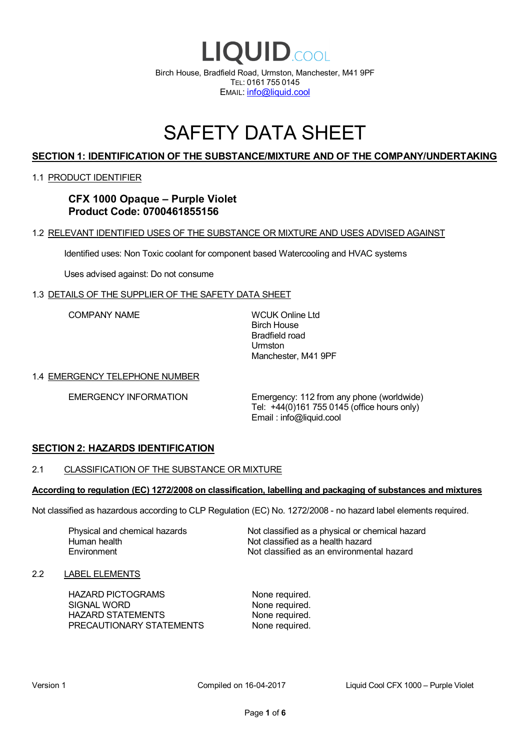

# SAFETY DATA SHEET

# **SECTION 1: IDENTIFICATION OF THE SUBSTANCE/MIXTURE AND OF THE COMPANY/UNDERTAKING**

# 1.1 PRODUCT IDENTIFIER

**CFX 1000 Opaque – Purple Violet Product Code: 0700461855156**

# 1.2 RELEVANT IDENTIFIED USES OF THE SUBSTANCE OR MIXTURE AND USES ADVISED AGAINST

Identified uses: Non Toxic coolant for component based Watercooling and HVAC systems

Uses advised against: Do not consume

# 1.3 DETAILS OF THE SUPPLIER OF THE SAFETY DATA SHEET

COMPANY NAME WCUK Online Ltd

Birch House Bradfield road Urmston Manchester, M41 9PF

### 1.4 EMERGENCY TELEPHONE NUMBER

EMERGENCY INFORMATION Emergency: 112 from any phone (worldwide) Tel: +44(0)161 755 0145 (office hours only) Email : info@liquid.cool

# **SECTION 2: HAZARDS IDENTIFICATION**

### 2.1 CLASSIFICATION OF THE SUBSTANCE OR MIXTURE

#### **According to regulation (EC) 1272/2008 on classification, labelling and packaging of substances and mixtures**

Not classified as hazardous according to CLP Regulation (EC) No. 1272/2008 - no hazard label elements required.

Human health **Environment** 

Physical and chemical hazards Not classified as a physical or chemical hazard Not classified as a health hazard Not classified as an environmental hazard

# 2.2 LABEL ELEMENTS

HAZARD PICTOGRAMS None required. SIGNAL WORD None required. HAZARD STATEMENTS None required. PRECAUTIONARY STATEMENTS None required.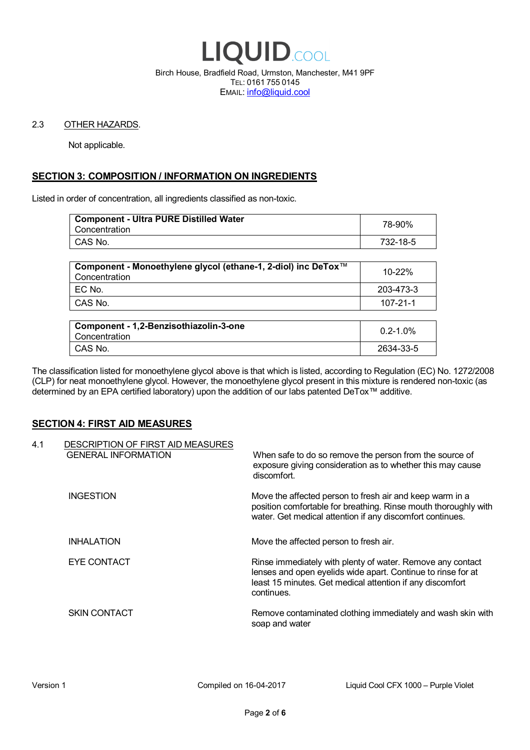

Birch House, Bradfield Road, Urmston, Manchester, M41 9PF TEL: 0161 755 0145 EMAIL: info@liquid.cool

### 2.3 OTHER HAZARDS.

Not applicable.

# **SECTION 3: COMPOSITION / INFORMATION ON INGREDIENTS**

Listed in order of concentration, all ingredients classified as non-toxic.

| <b>Component - Ultra PURE Distilled Water</b><br>Concentration | 78-90%   |
|----------------------------------------------------------------|----------|
| CAS No.                                                        | 732-18-5 |
|                                                                |          |

| Component - Monoethylene glycol (ethane-1, 2-diol) inc DeTox™<br>Concentration | 10-22%    |
|--------------------------------------------------------------------------------|-----------|
| $EC$ No.                                                                       | 203-473-3 |
| CAS No.                                                                        | 107-21-1  |

| Component - 1,2-Benzisothiazolin-3-one<br>Concentration | $0.2 - 1.0\%$ |
|---------------------------------------------------------|---------------|
| CAS No.                                                 | 2634-33-5     |

The classification listed for monoethylene glycol above is that which is listed, according to Regulation (EC) No. 1272/2008 (CLP) for neat monoethylene glycol. However, the monoethylene glycol present in this mixture is rendered non-toxic (as determined by an EPA certified laboratory) upon the addition of our labs patented DeTox™ additive.

# **SECTION 4: FIRST AID MEASURES**

| 4.1 | DESCRIPTION OF FIRST AID MEASURES<br><b>GENERAL INFORMATION</b> | When safe to do so remove the person from the source of<br>exposure giving consideration as to whether this may cause<br>discomfort.                                                                  |
|-----|-----------------------------------------------------------------|-------------------------------------------------------------------------------------------------------------------------------------------------------------------------------------------------------|
|     | <b>INGESTION</b>                                                | Move the affected person to fresh air and keep warm in a<br>position comfortable for breathing. Rinse mouth thoroughly with<br>water. Get medical attention if any discomfort continues.              |
|     | <b>INHALATION</b>                                               | Move the affected person to fresh air.                                                                                                                                                                |
|     | EYE CONTACT                                                     | Rinse immediately with plenty of water. Remove any contact<br>lenses and open eyelids wide apart. Continue to rinse for at<br>least 15 minutes. Get medical attention if any discomfort<br>continues. |
|     | <b>SKIN CONTACT</b>                                             | Remove contaminated clothing immediately and wash skin with<br>soap and water                                                                                                                         |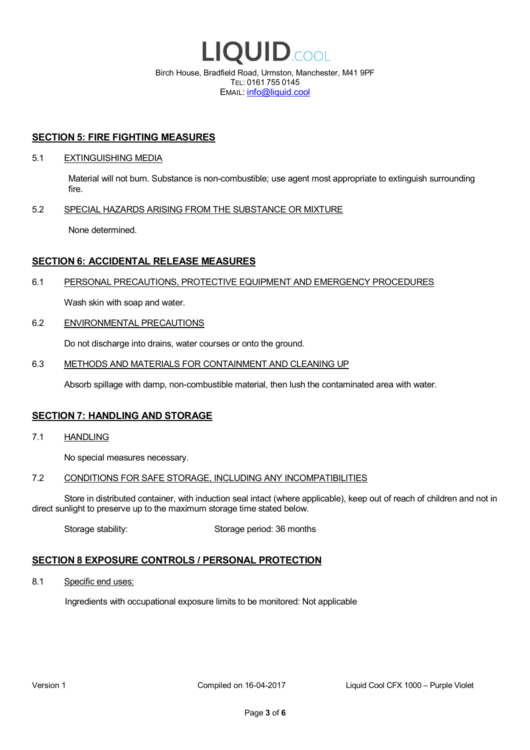

EMAIL: info@liquid.cool

# **SECTION 5: FIRE FIGHTING MEASURES**

### 5.1 EXTINGUISHING MEDIA

Material will not burn. Substance is non-combustible; use agent most appropriate to extinguish surrounding fire.

# 5.2 SPECIAL HAZARDS ARISING FROM THE SUBSTANCE OR MIXTURE

None determined.

# **SECTION 6: ACCIDENTAL RELEASE MEASURES**

# 6.1 PERSONAL PRECAUTIONS, PROTECTIVE EQUIPMENT AND EMERGENCY PROCEDURES

Wash skin with soap and water.

# 6.2 ENVIRONMENTAL PRECAUTIONS

Do not discharge into drains, water courses or onto the ground.

# 6.3 METHODS AND MATERIALS FOR CONTAINMENT AND CLEANING UP

Absorb spillage with damp, non-combustible material, then lush the contaminated area with water.

# **SECTION 7: HANDLING AND STORAGE**

7.1 HANDLING

No special measures necessary.

### 7.2 CONDITIONS FOR SAFE STORAGE, INCLUDING ANY INCOMPATIBILITIES

Store in distributed container, with induction seal intact (where applicable), keep out of reach of children and not in direct sunlight to preserve up to the maximum storage time stated below.

Storage stability: Storage period: 36 months

# **SECTION 8 EXPOSURE CONTROLS / PERSONAL PROTECTION**

8.1 Specific end uses:

Ingredients with occupational exposure limits to be monitored: Not applicable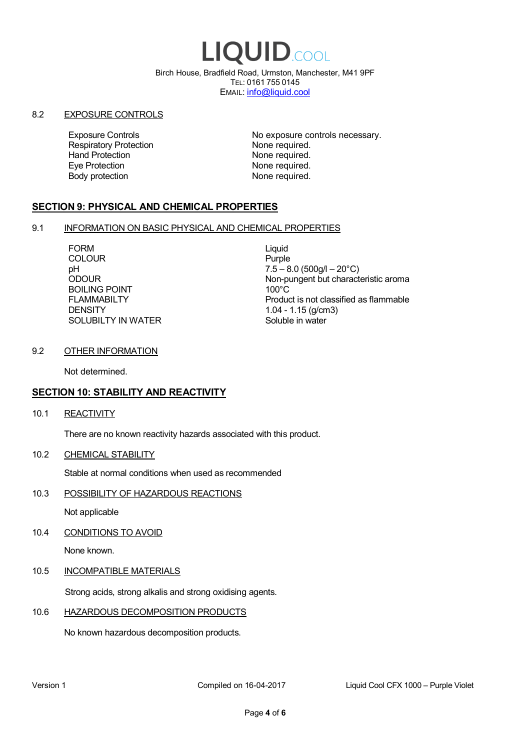# LIQUID.COOL

Birch House, Bradfield Road, Urmston, Manchester, M41 9PF TEL: 0161 755 0145 EMAIL: info@liquid.cool

# 8.2 EXPOSURE CONTROLS

Respiratory Protection **None required.**<br>
Hand Protection **None required.** Eye Protection **None required.** Body protection None required.

Exposure Controls **Exposure Controls** No exposure controls necessary. None required.

# **SECTION 9: PHYSICAL AND CHEMICAL PROPERTIES**

# 9.1 INFORMATION ON BASIC PHYSICAL AND CHEMICAL PROPERTIES

FORM Liquid COLOUR Purple BOILING POINT FLAMMABILTY **DENSITY** SOLUBILTY IN WATER

pH<br>
DDOUR
20°C)
2000UR
2000UR
2000UR
2000UR Non-pungent but characteristic aroma 100°C Product is not classified as flammable 1.04 - 1.15 (g/cm3) Soluble in water

# 9.2 OTHER INFORMATION

Not determined.

# **SECTION 10: STABILITY AND REACTIVITY**

10.1 REACTIVITY

There are no known reactivity hazards associated with this product.

10.2 CHEMICAL STABILITY

Stable at normal conditions when used as recommended

10.3 POSSIBILITY OF HAZARDOUS REACTIONS

Not applicable

10.4 CONDITIONS TO AVOID

None known.

# 10.5 INCOMPATIBLE MATERIALS

Strong acids, strong alkalis and strong oxidising agents.

# 10.6 HAZARDOUS DECOMPOSITION PRODUCTS

No known hazardous decomposition products.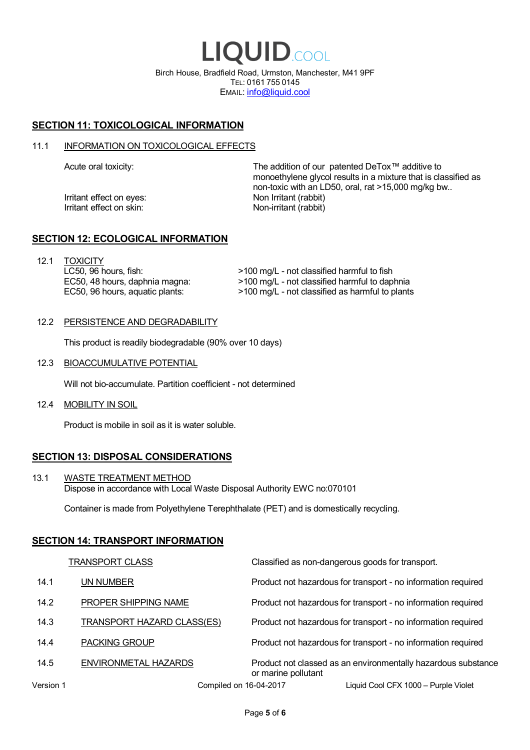LIQUID.COOL Birch House, Bradfield Road, Urmston, Manchester, M41 9PF TEL: 0161 755 0145 EMAIL: info@liquid.cool

# **SECTION 11: TOXICOLOGICAL INFORMATION**

### 11.1 INFORMATION ON TOXICOLOGICAL EFFECTS

Irritant effect on eves: Non Irritant (rabbit) Irritant effect on skin: Non-irritant (rabbit)

Acute oral toxicity: The addition of our patented DeTox™ additive to monoethylene glycol results in a mixture that is classified as non-toxic with an LD50, oral, rat >15,000 mg/kg bw..

# **SECTION 12: ECOLOGICAL INFORMATION**

12.1 TOXICITY LC50, 96 hours, fish: EC50, 48 hours, daphnia magna: EC50, 96 hours, aquatic plants:

>100 mg/L - not classified harmful to fish >100 mg/L - not classified harmful to daphnia >100 mg/L - not classified as harmful to plants

12.2 PERSISTENCE AND DEGRADABILITY

This product is readily biodegradable (90% over 10 days)

12.3 BIOACCUMULATIVE POTENTIAL

Will not bio-accumulate. Partition coefficient - not determined

12.4 MOBILITY IN SOIL

Product is mobile in soil as it is water soluble.

# **SECTION 13: DISPOSAL CONSIDERATIONS**

13.1 WASTE TREATMENT METHOD Dispose in accordance with Local Waste Disposal Authority EWC no:070101

Container is made from Polyethylene Terephthalate (PET) and is domestically recycling.

### **SECTION 14: TRANSPORT INFORMATION**

|           | <b>TRANSPORT CLASS</b>            | Classified as non-dangerous goods for transport.                                     |
|-----------|-----------------------------------|--------------------------------------------------------------------------------------|
| 14.1      | UN NUMBER                         | Product not hazardous for transport - no information required                        |
| 14.2      | PROPER SHIPPING NAME              | Product not hazardous for transport - no information required                        |
| 14.3      | <b>TRANSPORT HAZARD CLASS(ES)</b> | Product not hazardous for transport - no information required                        |
| 14.4      | <b>PACKING GROUP</b>              | Product not hazardous for transport - no information required                        |
| 14.5      | ENVIRONMETAL HAZARDS              | Product not classed as an environmentally hazardous substance<br>or marine pollutant |
| Version 1 | Compiled on 16-04-2017            | Liquid Cool CFX 1000 - Purple Violet                                                 |